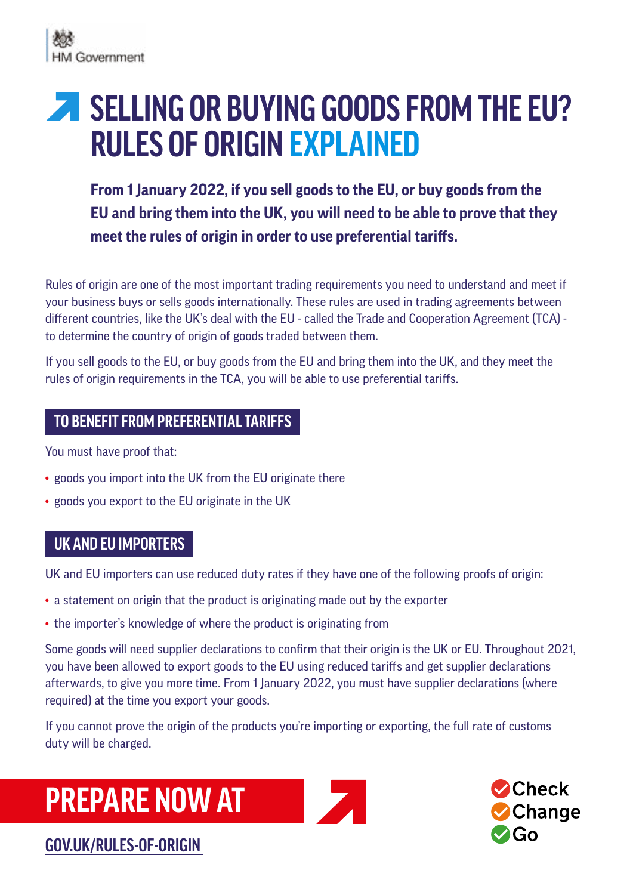# **SELLING OR BUYING GOODS FROM THE EU? RULES OF ORIGIN EXPLAINED**

**From 1 January 2022, if you sell goods to the EU, or buy goods from the EU and bring them into the UK, you will need to be able to prove that they meet the rules of origin in order to use preferential tariffs.**

Rules of origin are one of the most important trading requirements you need to understand and meet if your business buys or sells goods internationally. These rules are used in trading agreements between different countries, like the UK's deal with the EU - called the Trade and Cooperation Agreement (TCA) to determine the country of origin of goods traded between them.

If you sell goods to the EU, or buy goods from the EU and bring them into the UK, and they meet the rules of origin requirements in the TCA, you will be able to use preferential tariffs.

## **TO BENEFIT FROM PREFERENTIAL TARIFFS**

You must have proof that:

- goods you import into the UK from the EU originate there
- goods you export to the EU originate in the UK

## **UK AND EU IMPORTERS**

UK and EU importers can use reduced duty rates if they have one of the following proofs of origin:

- a statement on origin that the product is originating made out by the exporter
- the importer's knowledge of where the product is originating from

Some goods will need supplier declarations to confirm that their origin is the UK or EU. Throughout 2021, you have been allowed to export goods to the EU using reduced tariffs and get supplier declarations afterwards, to give you more time. From 1 January 2022, you must have supplier declarations (where required) at the time you export your goods.

If you cannot prove the origin of the products you're importing or exporting, the full rate of customs duty will be charged.

## **PREPARE NOW AT**



## **[GOV.UK/RULES-OF-ORIGIN](https://www.gov.uk/rules-of-origin)**